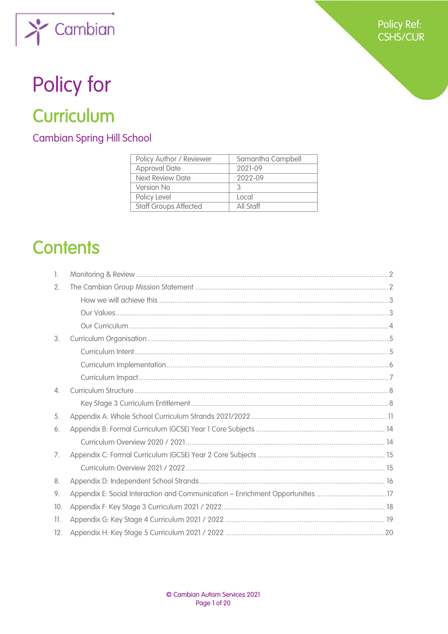

# Policy for

## Curriculum

**Cambian Spring Hill School** 

| Policy Author / Reviewer     | Samantha Campbell |
|------------------------------|-------------------|
| <b>Approval Date</b>         | 2021-09           |
| Next Review Date             | 2022-09           |
| Version No                   | 2                 |
| Policy Level                 | Local             |
| <b>Staff Groups Affected</b> | All Staff         |

## **Contents**

| 1.  |                                                                                |  |
|-----|--------------------------------------------------------------------------------|--|
| 2.  |                                                                                |  |
|     |                                                                                |  |
|     |                                                                                |  |
|     |                                                                                |  |
| 3.  |                                                                                |  |
|     |                                                                                |  |
|     |                                                                                |  |
|     |                                                                                |  |
| 4.  |                                                                                |  |
|     |                                                                                |  |
| 5.  |                                                                                |  |
| 6.  |                                                                                |  |
|     |                                                                                |  |
| 7.  |                                                                                |  |
|     |                                                                                |  |
| 8.  |                                                                                |  |
| 9.  | Appendix E: Social Interaction and Communication - Enrichment Opportunities 17 |  |
| 10. |                                                                                |  |
| 11. |                                                                                |  |
| 12. |                                                                                |  |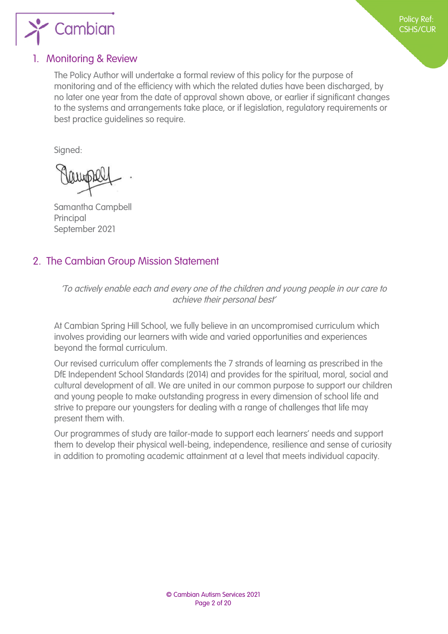

#### <span id="page-1-0"></span>1. Monitoring & Review

The Policy Author will undertake a formal review of this policy for the purpose of monitoring and of the efficiency with which the related duties have been discharged, by no later one year from the date of approval shown above, or earlier if significant changes to the systems and arrangements take place, or if legislation, regulatory requirements or best practice guidelines so require.

Signed:

Samantha Campbell Principal September 2021

### <span id="page-1-1"></span>2. The Cambian Group Mission Statement

'To actively enable each and every one of the children and young people in our care to achieve their personal best'

At Cambian Spring Hill School, we fully believe in an uncompromised curriculum which involves providing our learners with wide and varied opportunities and experiences beyond the formal curriculum.

Our revised curriculum offer complements the 7 strands of learning as prescribed in the DfE Independent School Standards (2014) and provides for the spiritual, moral, social and cultural development of all. We are united in our common purpose to support our children and young people to make outstanding progress in every dimension of school life and strive to prepare our youngsters for dealing with a range of challenges that life may present them with.

Our programmes of study are tailor-made to support each learners' needs and support them to develop their physical well-being, independence, resilience and sense of curiosity in addition to promoting academic attainment at a level that meets individual capacity.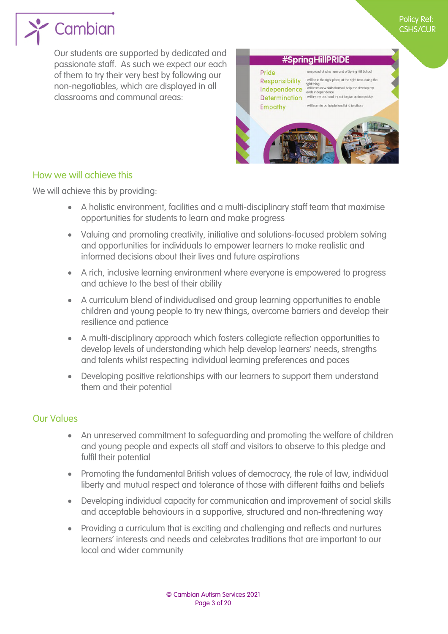

Our students are supported by dedicated and passionate staff. As such we expect our each of them to try their very best by following our non-negotiables, which are displayed in all classrooms and communal areas:



#### <span id="page-2-1"></span><span id="page-2-0"></span>How we will achieve this

We will achieve this by providing:

- A holistic environment, facilities and a multi-disciplinary staff team that maximise opportunities for students to learn and make progress
- Valuing and promoting creativity, initiative and solutions-focused problem solving and opportunities for individuals to empower learners to make realistic and informed decisions about their lives and future aspirations
- A rich, inclusive learning environment where everyone is empowered to progress and achieve to the best of their ability
- A curriculum blend of individualised and group learning opportunities to enable children and young people to try new things, overcome barriers and develop their resilience and patience
- A multi-disciplinary approach which fosters collegiate reflection opportunities to develop levels of understanding which help develop learners' needs, strengths and talents whilst respecting individual learning preferences and paces
- Developing positive relationships with our learners to support them understand them and their potential

#### <span id="page-2-2"></span>Our Values

- An unreserved commitment to safeguarding and promoting the welfare of children and young people and expects all staff and visitors to observe to this pledge and fulfil their potential
- Promoting the fundamental British values of democracy, the rule of law, individual liberty and mutual respect and tolerance of those with different faiths and beliefs
- Developing individual capacity for communication and improvement of social skills and acceptable behaviours in a supportive, structured and non-threatening way
- Providing a curriculum that is exciting and challenging and reflects and nurtures learners' interests and needs and celebrates traditions that are important to our local and wider community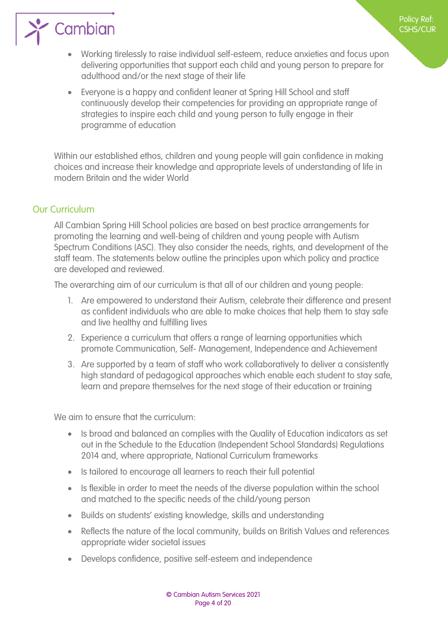## $\sum_{i=1}^{\infty}$  Cambian

- Working tirelessly to raise individual self-esteem, reduce anxieties and focus upon delivering opportunities that support each child and young person to prepare for adulthood and/or the next stage of their life
- Everyone is a happy and confident leaner at Spring Hill School and staff continuously develop their competencies for providing an appropriate range of strategies to inspire each child and young person to fully engage in their programme of education

Within our established ethos, children and young people will gain confidence in making choices and increase their knowledge and appropriate levels of understanding of life in modern Britain and the wider World

#### <span id="page-3-1"></span>Our Curriculum

<span id="page-3-0"></span>All Cambian Spring Hill School policies are based on best practice arrangements for promoting the learning and well-being of children and young people with Autism Spectrum Conditions (ASC). They also consider the needs, rights, and development of the staff team. The statements below outline the principles upon which policy and practice are developed and reviewed.

The overarching aim of our curriculum is that all of our children and young people:

- 1. Are empowered to understand their Autism, celebrate their difference and present as confident individuals who are able to make choices that help them to stay safe and live healthy and fulfilling lives
- 2. Experience a curriculum that offers a range of learning opportunities which promote Communication, Self- Management, Independence and Achievement
- 3. Are supported by a team of staff who work collaboratively to deliver a consistently high standard of pedagogical approaches which enable each student to stay safe, learn and prepare themselves for the next stage of their education or training

We aim to ensure that the curriculum:

- Is broad and balanced an complies with the Quality of Education indicators as set out in the Schedule to the Education (Independent School Standards) Regulations 2014 and, where appropriate, National Curriculum frameworks
- Is tailored to encourage all learners to reach their full potential
- Is flexible in order to meet the needs of the diverse population within the school and matched to the specific needs of the child/young person
- Builds on students' existing knowledge, skills and understanding
- Reflects the nature of the local community, builds on British Values and references appropriate wider societal issues
- Develops confidence, positive self-esteem and independence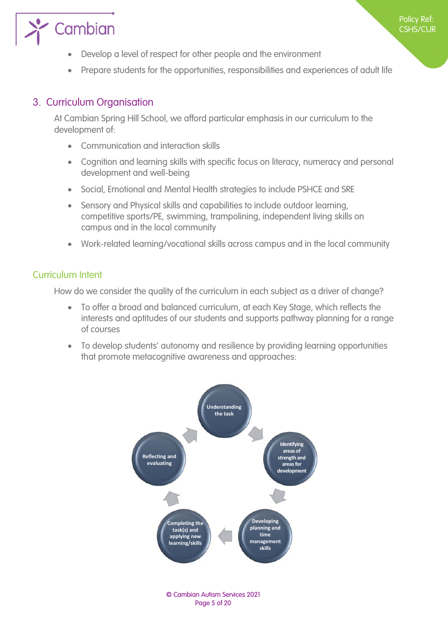

# Cambian

- Develop a level of respect for other people and the environment
- Prepare students for the opportunities, responsibilities and experiences of adult life

#### <span id="page-4-1"></span>3. Curriculum Organisation

<span id="page-4-0"></span>At Cambian Spring Hill School, we afford particular emphasis in our curriculum to the development of:

- Communication and interaction skills
- Cognition and learning skills with specific focus on literacy, numeracy and personal development and well-being
- Social, Emotional and Mental Health strategies to include PSHCE and SRE
- Sensory and Physical skills and capabilities to include outdoor learning, competitive sports/PE, swimming, trampolining, independent living skills on campus and in the local community
- Work-related learning/vocational skills across campus and in the local community

#### <span id="page-4-2"></span>Curriculum Intent

How do we consider the quality of the curriculum in each subject as a driver of change?

- To offer a broad and balanced curriculum, at each Key Stage, which reflects the interests and aptitudes of our students and supports pathway planning for a range of courses
- To develop students' autonomy and resilience by providing learning opportunities that promote metacognitive awareness and approaches:



© Cambian Autism Services 2021 Page 5 of 20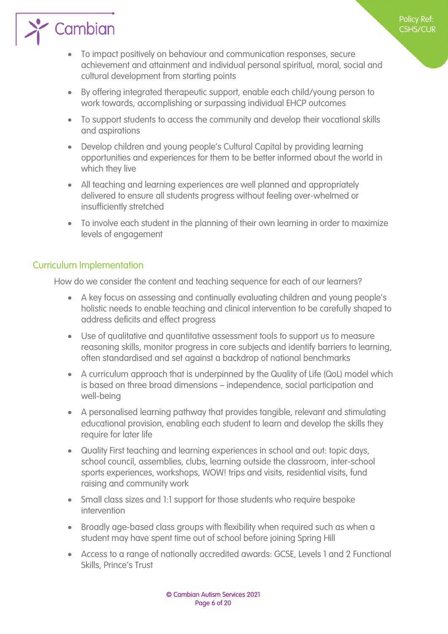## Cambian

- To impact positively on behaviour and communication responses, secure achievement and attainment and individual personal spiritual, moral, social and cultural development from starting points
- By offering integrated therapeutic support, enable each child/young person to work towards, accomplishing or surpassing individual EHCP outcomes
- To support students to access the community and develop their vocational skills and aspirations
- Develop children and young people's Cultural Capital by providing learning opportunities and experiences for them to be better informed about the world in which they live
- All teaching and learning experiences are well planned and appropriately delivered to ensure all students progress without feeling over-whelmed or insufficiently stretched
- To involve each student in the planning of their own learning in order to maximize levels of engagement

#### <span id="page-5-1"></span>Curriculum Implementation

<span id="page-5-0"></span>How do we consider the content and teaching sequence for each of our learners?

- A key focus on assessing and continually evaluating children and young people's holistic needs to enable teaching and clinical intervention to be carefully shaped to address deficits and effect progress
- Use of qualitative and quantitative assessment tools to support us to measure reasoning skills, monitor progress in core subjects and identify barriers to learning, often standardised and set against a backdrop of national benchmarks
- A curriculum approach that is underpinned by the Quality of Life (QoL) model which is based on three broad dimensions – independence, social participation and well-being
- A personalised learning pathway that provides tangible, relevant and stimulating educational provision, enabling each student to learn and develop the skills they require for later life
- Quality First teaching and learning experiences in school and out: topic days, school council, assemblies, clubs, learning outside the classroom, inter-school sports experiences, workshops, WOW! trips and visits, residential visits, fund raising and community work
- Small class sizes and 1:1 support for those students who require bespoke intervention
- Broadly age-based class groups with flexibility when required such as when a student may have spent time out of school before joining Spring Hill
- Access to a range of nationally accredited awards: GCSE, Levels 1 and 2 Functional Skills, Prince's Trust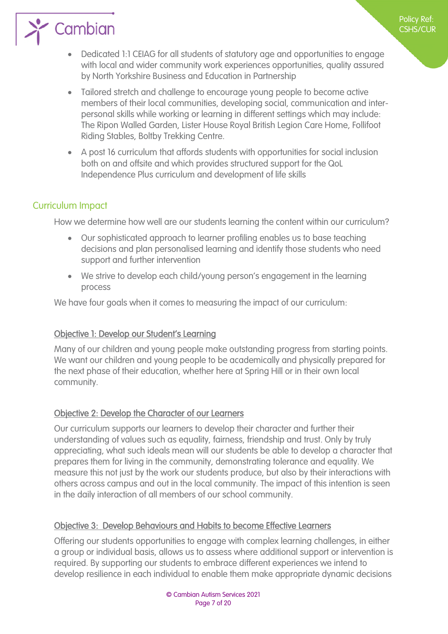Dedicated 1:1 CEIAG for all students of statutory age and opportunities to engage with local and wider community work experiences opportunities, quality assured by North Yorkshire Business and Education in Partnership

Policy Ref: CSHS/CUR

- Tailored stretch and challenge to encourage young people to become active members of their local communities, developing social, communication and interpersonal skills while working or learning in different settings which may include: The Ripon Walled Garden, Lister House Royal British Legion Care Home, Follifoot Riding Stables, Boltby Trekking Centre.
- A post 16 curriculum that affords students with opportunities for social inclusion both on and offsite and which provides structured support for the QoL Independence Plus curriculum and development of life skills

#### Curriculum Impact

 $\sum$  Cambian

<span id="page-6-0"></span>How we determine how well are our students learning the content within our curriculum?

- Our sophisticated approach to learner profiling enables us to base teaching decisions and plan personalised learning and identify those students who need support and further intervention
- We strive to develop each child/young person's engagement in the learning process

We have four goals when it comes to measuring the impact of our curriculum:

#### Objective 1: Develop our Student's Learning

Many of our children and young people make outstanding progress from starting points. We want our children and young people to be academically and physically prepared for the next phase of their education, whether here at Spring Hill or in their own local community.

#### Objective 2: Develop the Character of our Learners

Our curriculum supports our learners to develop their character and further their understanding of values such as equality, fairness, friendship and trust. Only by truly appreciating, what such ideals mean will our students be able to develop a character that prepares them for living in the community, demonstrating tolerance and equality. We measure this not just by the work our students produce, but also by their interactions with others across campus and out in the local community. The impact of this intention is seen in the daily interaction of all members of our school community.

#### Objective 3: Develop Behaviours and Habits to become Effective Learners

Offering our students opportunities to engage with complex learning challenges, in either a group or individual basis, allows us to assess where additional support or intervention is required. By supporting our students to embrace different experiences we intend to develop resilience in each individual to enable them make appropriate dynamic decisions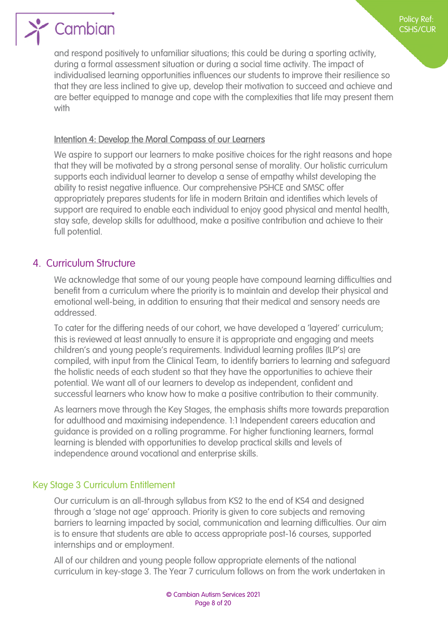

and respond positively to unfamiliar situations; this could be during a sporting activity, during a formal assessment situation or during a social time activity. The impact of individualised learning opportunities influences our students to improve their resilience so that they are less inclined to give up, develop their motivation to succeed and achieve and are better equipped to manage and cope with the complexities that life may present them with

#### Intention 4: Develop the Moral Compass of our Learners

We aspire to support our learners to make positive choices for the right reasons and hope that they will be motivated by a strong personal sense of morality. Our holistic curriculum supports each individual learner to develop a sense of empathy whilst developing the ability to resist negative influence. Our comprehensive PSHCE and SMSC offer appropriately prepares students for life in modern Britain and identifies which levels of support are required to enable each individual to enjoy good physical and mental health, stay safe, develop skills for adulthood, make a positive contribution and achieve to their full potential.

#### 4. Curriculum Structure

<span id="page-7-0"></span>We acknowledge that some of our young people have compound learning difficulties and benefit from a curriculum where the priority is to maintain and develop their physical and emotional well-being, in addition to ensuring that their medical and sensory needs are addressed.

To cater for the differing needs of our cohort, we have developed a 'layered' curriculum; this is reviewed at least annually to ensure it is appropriate and engaging and meets children's and young people's requirements. Individual learning profiles (ILP's) are compiled, with input from the Clinical Team, to identify barriers to learning and safeguard the holistic needs of each student so that they have the opportunities to achieve their potential. We want all of our learners to develop as independent, confident and successful learners who know how to make a positive contribution to their community.

As learners move through the Key Stages, the emphasis shifts more towards preparation for adulthood and maximising independence. 1:1 Independent careers education and guidance is provided on a rolling programme. For higher functioning learners, formal learning is blended with opportunities to develop practical skills and levels of independence around vocational and enterprise skills.

#### Key Stage 3 Curriculum Entitlement

<span id="page-7-1"></span>Our curriculum is an all-through syllabus from KS2 to the end of KS4 and designed through a 'stage not age' approach. Priority is given to core subjects and removing barriers to learning impacted by social, communication and learning difficulties. Our aim is to ensure that students are able to access appropriate post-16 courses, supported internships and or employment.

All of our children and young people follow appropriate elements of the national curriculum in key-stage 3. The Year 7 curriculum follows on from the work undertaken in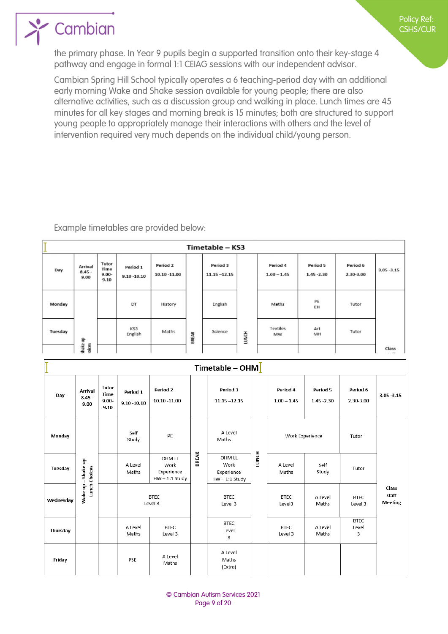## Cambian

the primary phase. In Year 9 pupils begin a supported transition onto their key-stage 4 pathway and engage in formal 1:1 CEIAG sessions with our independent advisor.

Cambian Spring Hill School typically operates a 6 teaching-period day with an additional early morning Wake and Shake session available for young people; there are also alternative activities, such as a discussion group and walking in place. Lunch times are 45 minutes for all key stages and morning break is 15 minutes; both are structured to support young people to appropriately manage their interactions with others and the level of intervention required very much depends on the individual child/young person.

Example timetables are provided below:

| ٠       | Timetable - KS3                    |                                   |                            |                             |       |                             |              |                           |                           |                       |               |
|---------|------------------------------------|-----------------------------------|----------------------------|-----------------------------|-------|-----------------------------|--------------|---------------------------|---------------------------|-----------------------|---------------|
| Day     | <b>Arrival</b><br>$8.45 -$<br>9.00 | Tutor<br>Time<br>$9.00 -$<br>9.10 | Period 1<br>$9.10 - 10.10$ | Period 2<br>$10.10 - 11.00$ |       | Period 3<br>$11.15 - 12.15$ |              | Period 4<br>$1.00 - 1.45$ | Period 5<br>$1.45 - 2.30$ | Period 6<br>2.30-3.00 | $3.05 - 3.15$ |
| Monday  |                                    |                                   | DT                         | History                     |       | English                     |              | Maths                     | PE<br>EH                  | Tutor                 |               |
| Tuesday | ihake up                           |                                   | KS3<br>English             | Maths                       | BREAK | Science                     | <b>LUNCH</b> | Textiles<br>MW            | Art<br>MH                 | Tutor                 |               |
|         | olices                             |                                   |                            |                             |       |                             |              |                           |                           |                       | Class         |

|           | Timetable - OHM $\overline{ }$ |                                   |                            |                                                  |              |                                                  |       |                           |                           |                           |                                  |
|-----------|--------------------------------|-----------------------------------|----------------------------|--------------------------------------------------|--------------|--------------------------------------------------|-------|---------------------------|---------------------------|---------------------------|----------------------------------|
| Day       | Arrival<br>$8.45 -$<br>9.00    | Tutor<br>Time<br>$9.00 -$<br>9.10 | Period 1<br>$9.10 - 10.10$ | Period 2<br>10.10 -11.00                         |              | Period 3<br>$11.15 - 12.15$                      |       | Period 4<br>$1.00 - 1.45$ | Period 5<br>$1.45 - 2.30$ | Period 6<br>2.30-3.00     | $3.05 - 3.15$                    |
| Monday    | Self<br>PE<br>Study            |                                   |                            | A Level<br>Maths                                 |              | Work Experience                                  |       | Tutor                     |                           |                           |                                  |
| Tuesday   | -Shake up<br>Lunch Choices     |                                   | A Level<br>Maths           | OHM LL<br>Work<br>Experience<br>$HW - 1:1$ Study | <b>BREAK</b> | OHM LL<br>Work<br>Experience<br>$HW - 1:1$ Study | LUNCH | A Level<br>Maths          | Self<br>Study             | Tutor                     |                                  |
| Wednesday | Wake up-                       |                                   | <b>BTEC</b><br>Level 3     |                                                  |              | <b>BTEC</b><br>Level 3                           |       | <b>BTEC</b><br>Level3     | A Level<br>Maths          | <b>BTEC</b><br>Level 3    | Class<br>staff<br><b>Meeting</b> |
| Thursday  |                                |                                   | A Level<br>Maths           | <b>BTEC</b><br>Level 3                           |              | <b>BTEC</b><br>Level<br>3                        |       | <b>BTEC</b><br>Level 3    | A Level<br>Maths          | <b>BTEC</b><br>Level<br>3 |                                  |
| Friday    |                                |                                   | PSE                        | A Level<br>Maths                                 |              | A Level<br>Maths<br>(Extra)                      |       |                           |                           |                           |                                  |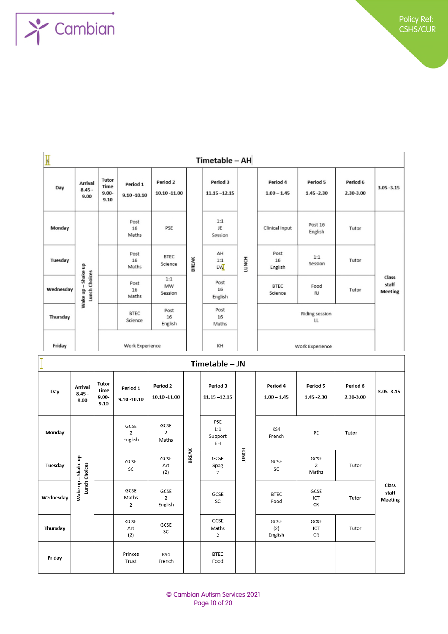

| $\mathbb I$ | Timetable - AH                     |                                          |                            |                          |              |                             |       |                           |                                        |                       |                                  |
|-------------|------------------------------------|------------------------------------------|----------------------------|--------------------------|--------------|-----------------------------|-------|---------------------------|----------------------------------------|-----------------------|----------------------------------|
| Day         | Arrival<br>$8.45 -$<br>9.00        | Tutor<br>Time<br>$9.00 -$<br>9.10        | Period 1<br>$9.10 - 10.10$ | Period 2<br>10.10 -11.00 |              | Period 3<br>$11.15 - 12.15$ |       | Period 4<br>$1.00 - 1.45$ | Period 5<br>$1.45 - 2.30$              | Period 6<br>2.30-3.00 | $3.05 - 3.15$                    |
| Monday      |                                    |                                          | Post<br>16<br>Maths        | PSE                      |              | 1:1<br>JE<br>Session        |       | Clinical Input            | Post 16<br>English                     | Tutor                 |                                  |
| Tuesday     | - Shake up                         |                                          | Post<br>16<br>Maths        | <b>BTEC</b><br>Science   | <b>BREAK</b> | AH<br>1:1<br>EW             | LUNCH | Post<br>16<br>English     | 1:1<br>Session                         | Tutor                 | Class<br>staff<br><b>Meeting</b> |
| Wednesday   | Lunch Choices<br>Wake up           |                                          | Post<br>16<br>Maths        | 1:1<br>MW<br>Session     |              | Post<br>16<br>English       |       | BTEC<br>Science           | Food<br><b>RJ</b>                      | Tutor                 |                                  |
| Thursday    |                                    |                                          | BTEC<br>Science            | Post<br>16<br>English    |              | Post<br>16<br>Maths         |       | Riding session<br>u.      |                                        |                       |                                  |
| Friday      |                                    |                                          | Work Experience            |                          |              | KH                          |       |                           | Work Experience                        |                       |                                  |
|             |                                    |                                          |                            |                          |              | Timetable - JN              |       |                           |                                        |                       |                                  |
| Day         | <b>Arrival</b><br>$8.45 -$<br>9.00 | Tutor<br><b>Time</b><br>$9.00 -$<br>9.10 | Period 1<br>$9.10 - 10.10$ | Period 2<br>10.10 -11.00 |              | Period 3<br>$11.15 - 12.15$ |       | Period 4<br>$1.00 - 1.45$ | Period 5<br>$1.45 - 2.30$              | Period 6<br>2.30-3.00 | $3.05 - 3.15$                    |
| Monday      |                                    |                                          | GCSE<br>2<br>English       | GCSE<br>2<br>Maths       |              | PSE<br>1:1<br>Support<br>EH |       | KS4<br>French             | PE                                     | Tutor                 |                                  |
| Tuesday     | nake up<br>ices                    |                                          | GCSE<br>SC                 | GCSE<br>Art<br>121       | BREAK        | GCSE<br>Spag                | LUNCH | GCSE<br>SC                | GCSE<br>$\overline{2}$<br>$0.80 + h =$ | Tutor                 |                                  |

| Tuesday   | 을<br>Shake<br>Choices     | GCSE<br>SC         | GCSE<br>Art<br>(2)                | BRE | GCSE<br>Spag<br>2   | Š | GCSE<br>SC             | GCSE<br>2<br>Maths | Tutor |                                  |
|-----------|---------------------------|--------------------|-----------------------------------|-----|---------------------|---|------------------------|--------------------|-------|----------------------------------|
| Wednesday | Lunch<br>을<br><b>Wake</b> | GCSE<br>Maths<br>2 | GCSE<br>$\overline{2}$<br>English |     | GCSE<br>SC          |   | <b>BTEC</b><br>Food    | GCSE<br>ICT<br>CR  | Tutor | Class<br>staff<br><b>Meeting</b> |
| Thursday  |                           | GCSE<br>Art<br>(2) | GCSE<br>SC                        |     | GCSE<br>Maths<br>2  |   | GCSE<br>(2)<br>English | GCSE<br>ICT<br>CR  | Tutor |                                  |
| Friday    |                           | Princes<br>Trust   | KS4<br>French                     |     | <b>BTEC</b><br>Food |   |                        |                    |       |                                  |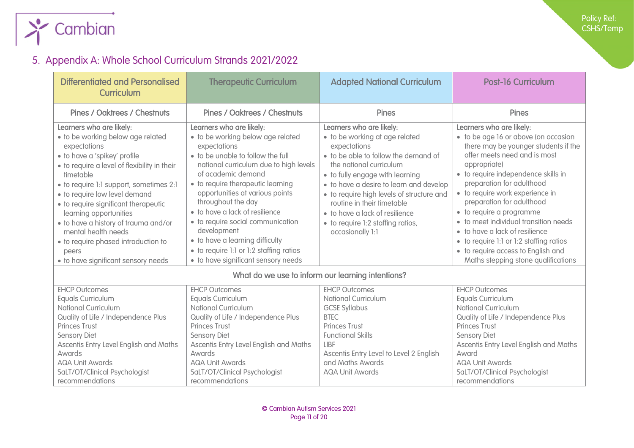

## 5. Appendix A: Whole School Curriculum Strands 2021/2022

<span id="page-10-0"></span>

| <b>Differentiated and Personalised</b><br>Curriculum                                                                                                                                                                                                                                                                                                                                                                                                                           | <b>Therapeutic Curriculum</b>                                                                                                                                                                                                                                                                                                                                                                                                                                                               | <b>Adapted National Curriculum</b>                                                                                                                                                                                                                                                                                                                                                                | <b>Post-16 Curriculum</b>                                                                                                                                                                                                                                                                                                                                                                                                                                                                                                   |
|--------------------------------------------------------------------------------------------------------------------------------------------------------------------------------------------------------------------------------------------------------------------------------------------------------------------------------------------------------------------------------------------------------------------------------------------------------------------------------|---------------------------------------------------------------------------------------------------------------------------------------------------------------------------------------------------------------------------------------------------------------------------------------------------------------------------------------------------------------------------------------------------------------------------------------------------------------------------------------------|---------------------------------------------------------------------------------------------------------------------------------------------------------------------------------------------------------------------------------------------------------------------------------------------------------------------------------------------------------------------------------------------------|-----------------------------------------------------------------------------------------------------------------------------------------------------------------------------------------------------------------------------------------------------------------------------------------------------------------------------------------------------------------------------------------------------------------------------------------------------------------------------------------------------------------------------|
| <b>Pines / Oaktrees / Chestnuts</b>                                                                                                                                                                                                                                                                                                                                                                                                                                            | <b>Pines / Oaktrees / Chestnuts</b>                                                                                                                                                                                                                                                                                                                                                                                                                                                         | <b>Pines</b>                                                                                                                                                                                                                                                                                                                                                                                      | <b>Pines</b>                                                                                                                                                                                                                                                                                                                                                                                                                                                                                                                |
| Learners who are likely:<br>· to be working below age related<br>expectations<br>· to have a 'spikey' profile<br>• to require a level of flexibility in their<br>timetable<br>• to require 1:1 support, sometimes 2:1<br>· to require low level demand<br>• to require significant therapeutic<br>learning opportunities<br>· to have a history of trauma and/or<br>mental health needs<br>• to require phased introduction to<br>peers<br>· to have significant sensory needs | Learners who are likely:<br>· to be working below age related<br>expectations<br>• to be unable to follow the full<br>national curriculum due to high levels<br>of academic demand<br>• to require therapeutic learning<br>opportunities at various points<br>throughout the day<br>· to have a lack of resilience<br>• to require social communication<br>development<br>• to have a learning difficulty<br>• to require 1:1 or 1:2 staffing ratios<br>• to have significant sensory needs | Learners who are likely:<br>• to be working at age related<br>expectations<br>• to be able to follow the demand of<br>the national curriculum<br>• to fully engage with learning<br>• to have a desire to learn and develop<br>• to require high levels of structure and<br>routine in their timetable<br>• to have a lack of resilience<br>• to require 1:2 staffing ratios,<br>occasionally 1:1 | Learners who are likely:<br>• to be age 16 or above (on occasion<br>there may be younger students if the<br>offer meets need and is most<br>appropriate)<br>· to require independence skills in<br>preparation for adulthood<br>• to require work experience in<br>preparation for adulthood<br>• to require a programme<br>• to meet individual transition needs<br>• to have a lack of resilience<br>• to require 1:1 or 1:2 staffing ratios<br>• to require access to English and<br>Maths stepping stone qualifications |
|                                                                                                                                                                                                                                                                                                                                                                                                                                                                                |                                                                                                                                                                                                                                                                                                                                                                                                                                                                                             | What do we use to inform our learning intentions?                                                                                                                                                                                                                                                                                                                                                 |                                                                                                                                                                                                                                                                                                                                                                                                                                                                                                                             |
| <b>EHCP Outcomes</b><br><b>Equals Curriculum</b><br><b>National Curriculum</b><br>Quality of Life / Independence Plus<br><b>Princes Trust</b><br><b>Sensory Diet</b><br>Ascentis Entry Level English and Maths<br>Awards<br><b>AQA Unit Awards</b><br>SaLT/OT/Clinical Psychologist<br>recommendations                                                                                                                                                                         | <b>EHCP Outcomes</b><br>Equals Curriculum<br><b>National Curriculum</b><br>Quality of Life / Independence Plus<br><b>Princes Trust</b><br><b>Sensory Diet</b><br>Ascentis Entry Level English and Maths<br><b>Awards</b><br><b>AQA Unit Awards</b><br>SaLT/OT/Clinical Psychologist<br>recommendations                                                                                                                                                                                      | <b>EHCP Outcomes</b><br><b>National Curriculum</b><br><b>GCSE Syllabus</b><br><b>BTEC</b><br><b>Princes Trust</b><br><b>Functional Skills</b><br>LIBF<br>Ascentis Entry Level to Level 2 English<br>and Maths Awards<br><b>AQA Unit Awards</b>                                                                                                                                                    | <b>EHCP Outcomes</b><br><b>Equals Curriculum</b><br><b>National Curriculum</b><br>Quality of Life / Independence Plus<br><b>Princes Trust</b><br><b>Sensory Diet</b><br>Ascentis Entry Level English and Maths<br>Award<br><b>AQA Unit Awards</b><br>SaLT/OT/Clinical Psychologist<br>recommendations                                                                                                                                                                                                                       |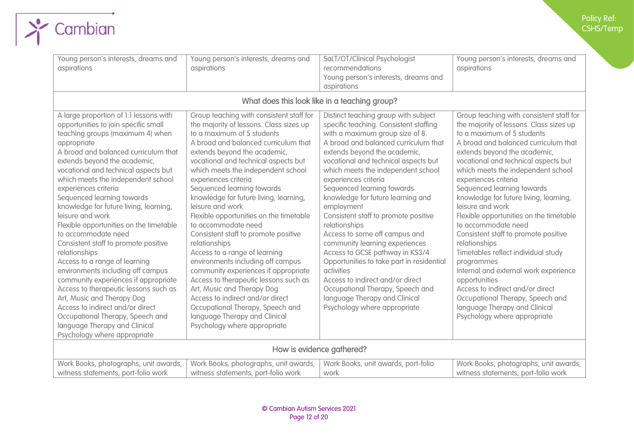| Young person's interests, dreams and<br>aspirations                                                                                                                                                                                                                                                                                                                                                                                                                                                                                                                                                                                                                                                                                                                                                                                                                  | Young person's interests, dreams and<br>aspirations                                                                                                                                                                                                                                                                                                                                                                                                                                                                                                                                                                                                                                                                                                                                                                                                  | SaLT/OT/Clinical Psychologist<br>recommendations<br>Young person's interests, dreams and<br>aspirations                                                                                                                                                                                                                                                                                                                                                                                                                                                                                                                                                                                                                                             | Young person's interests, dreams and<br>aspirations                                                                                                                                                                                                                                                                                                                                                                                                                                                                                                                                                                                                                                                                                                                            |
|----------------------------------------------------------------------------------------------------------------------------------------------------------------------------------------------------------------------------------------------------------------------------------------------------------------------------------------------------------------------------------------------------------------------------------------------------------------------------------------------------------------------------------------------------------------------------------------------------------------------------------------------------------------------------------------------------------------------------------------------------------------------------------------------------------------------------------------------------------------------|------------------------------------------------------------------------------------------------------------------------------------------------------------------------------------------------------------------------------------------------------------------------------------------------------------------------------------------------------------------------------------------------------------------------------------------------------------------------------------------------------------------------------------------------------------------------------------------------------------------------------------------------------------------------------------------------------------------------------------------------------------------------------------------------------------------------------------------------------|-----------------------------------------------------------------------------------------------------------------------------------------------------------------------------------------------------------------------------------------------------------------------------------------------------------------------------------------------------------------------------------------------------------------------------------------------------------------------------------------------------------------------------------------------------------------------------------------------------------------------------------------------------------------------------------------------------------------------------------------------------|--------------------------------------------------------------------------------------------------------------------------------------------------------------------------------------------------------------------------------------------------------------------------------------------------------------------------------------------------------------------------------------------------------------------------------------------------------------------------------------------------------------------------------------------------------------------------------------------------------------------------------------------------------------------------------------------------------------------------------------------------------------------------------|
|                                                                                                                                                                                                                                                                                                                                                                                                                                                                                                                                                                                                                                                                                                                                                                                                                                                                      |                                                                                                                                                                                                                                                                                                                                                                                                                                                                                                                                                                                                                                                                                                                                                                                                                                                      | What does this look like in a teaching group?                                                                                                                                                                                                                                                                                                                                                                                                                                                                                                                                                                                                                                                                                                       |                                                                                                                                                                                                                                                                                                                                                                                                                                                                                                                                                                                                                                                                                                                                                                                |
| A large proportion of 1:1 lessons with<br>opportunities to join specific small<br>teaching groups (maximum 4) when<br>appropriate<br>A broad and balanced curriculum that<br>extends beyond the academic,<br>vocational and technical aspects but<br>which meets the independent school<br>experiences criteria<br>Sequenced learning towards<br>knowledge for future living, learning,<br>leisure and work<br>Flexible opportunities on the timetable<br>to accommodate need<br>Consistent staff to promote positive<br>relationships<br>Access to a range of learning<br>environments including off campus<br>community experiences if appropriate<br>Access to therapeutic lessons such as<br>Art, Music and Therapy Dog<br>Access to indirect and/or direct<br>Occupational Therapy, Speech and<br>language Therapy and Clinical<br>Psychology where appropriate | Group teaching with consistent staff for<br>the majority of lessons. Class sizes up<br>to a maximum of 5 students<br>A broad and balanced curriculum that<br>extends beyond the academic,<br>vocational and technical aspects but<br>which meets the independent school<br>experiences criteria<br>Sequenced learning towards<br>knowledge for future living, learning,<br>leisure and work<br>Flexible opportunities on the timetable<br>to accommodate need<br>Consistent staff to promote positive<br>relationships<br>Access to a range of learning<br>environments including off campus<br>community experiences if appropriate<br>Access to therapeutic lessons such as<br>Art, Music and Therapy Dog<br>Access to indirect and/or direct<br>Occupational Therapy, Speech and<br>language Therapy and Clinical<br>Psychology where appropriate | Distinct teaching group with subject<br>specific teaching. Consistent staffing<br>with a maximum group size of 8.<br>A broad and balanced curriculum that<br>extends beyond the academic,<br>vocational and technical aspects but<br>which meets the independent school<br>experiences criteria<br>Sequenced learning towards<br>knowledge for future learning and<br>employment<br>Consistent staff to promote positive<br>relationships<br>Access to some off campus and<br>community learning experiences<br>Access to GCSE pathway in KS3/4<br>Opportunities to take part in residential<br>activities<br>Access to indirect and/or direct<br>Occupational Therapy, Speech and<br>language Therapy and Clinical<br>Psychology where appropriate | Group teaching with consistent staff for<br>the majority of lessons. Class sizes up<br>to a maximum of 5 students<br>A broad and balanced curriculum that<br>extends beyond the academic,<br>vocational and technical aspects but<br>which meets the independent school<br>experiences criteria<br>Sequenced learning towards<br>knowledge for future living, learning,<br>leisure and work<br>Flexible opportunities on the timetable<br>to accommodate need<br>Consistent staff to promote positive<br>relationships<br>Timetables reflect individual study<br>programmes<br>Internal and external work experience<br>opportunities<br>Access to indirect and/or direct<br>Occupational Therapy, Speech and<br>language Therapy and Clinical<br>Psychology where appropriate |
|                                                                                                                                                                                                                                                                                                                                                                                                                                                                                                                                                                                                                                                                                                                                                                                                                                                                      |                                                                                                                                                                                                                                                                                                                                                                                                                                                                                                                                                                                                                                                                                                                                                                                                                                                      | How is evidence gathered?                                                                                                                                                                                                                                                                                                                                                                                                                                                                                                                                                                                                                                                                                                                           |                                                                                                                                                                                                                                                                                                                                                                                                                                                                                                                                                                                                                                                                                                                                                                                |
| Work Books, photographs, unit awards,                                                                                                                                                                                                                                                                                                                                                                                                                                                                                                                                                                                                                                                                                                                                                                                                                                | Work Books, photographs, unit awards,                                                                                                                                                                                                                                                                                                                                                                                                                                                                                                                                                                                                                                                                                                                                                                                                                | Work Books, unit awards, port-folio                                                                                                                                                                                                                                                                                                                                                                                                                                                                                                                                                                                                                                                                                                                 | Work Books, photographs, unit awards,                                                                                                                                                                                                                                                                                                                                                                                                                                                                                                                                                                                                                                                                                                                                          |
| witness statements, port-folio work                                                                                                                                                                                                                                                                                                                                                                                                                                                                                                                                                                                                                                                                                                                                                                                                                                  | witness statements, port-folio work                                                                                                                                                                                                                                                                                                                                                                                                                                                                                                                                                                                                                                                                                                                                                                                                                  | work                                                                                                                                                                                                                                                                                                                                                                                                                                                                                                                                                                                                                                                                                                                                                | witness statements, port-folio work                                                                                                                                                                                                                                                                                                                                                                                                                                                                                                                                                                                                                                                                                                                                            |

 $\sum$  Cambian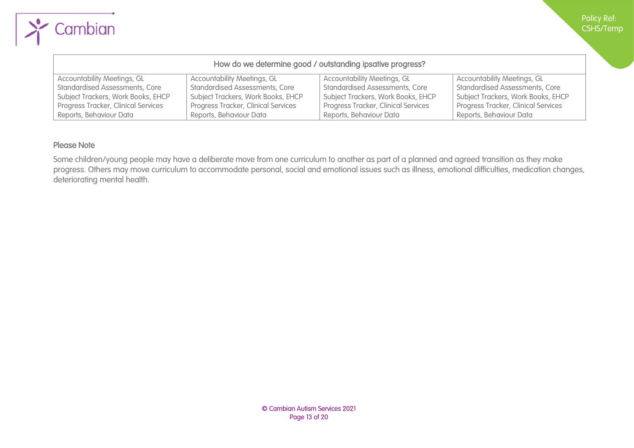| How do we determine good / outstanding ipsative progress? |                                            |                                            |                                       |  |  |  |  |
|-----------------------------------------------------------|--------------------------------------------|--------------------------------------------|---------------------------------------|--|--|--|--|
| <b>Accountability Meetings, GL</b>                        | <b>Accountability Meetings, GL</b>         | <b>Accountability Meetings, GL</b>         | <b>Accountability Meetings, GL</b>    |  |  |  |  |
| <b>Standardised Assessments, Core</b>                     | <b>Standardised Assessments, Core</b>      | <b>Standardised Assessments, Core</b>      | <b>Standardised Assessments, Core</b> |  |  |  |  |
| Subject Trackers, Work Books, EHCP                        | Subject Trackers, Work Books, EHCP         | Subject Trackers, Work Books, EHCP         | Subject Trackers, Work Books, EHCP    |  |  |  |  |
| Progress Tracker, Clinical Services                       | <b>Progress Tracker, Clinical Services</b> | <b>Progress Tracker, Clinical Services</b> | Progress Tracker, Clinical Services   |  |  |  |  |
| Reports, Behaviour Data                                   | Reports, Behaviour Data                    | Reports, Behaviour Data                    | Reports, Behaviour Data               |  |  |  |  |

#### Please Note

Cambian

Some children/young people may have a deliberate move from one curriculum to another as part of a planned and agreed transition as they make progress. Others may move curriculum to accommodate personal, social and emotional issues such as illness, emotional difficulties, medication changes, deteriorating mental health.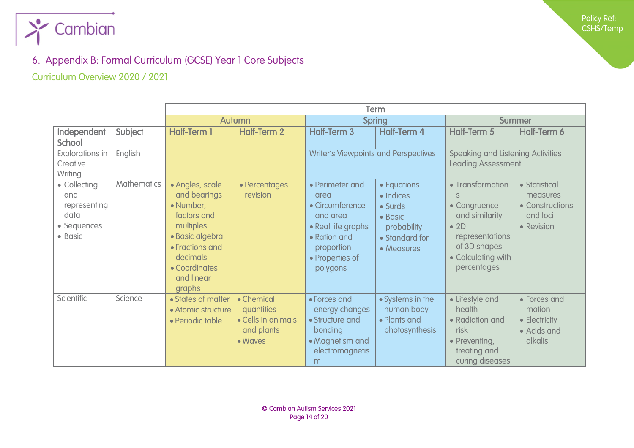

### 6. Appendix B: Formal Curriculum (GCSE) Year 1 Core Subjects

Curriculum Overview 2020 / 2021

<span id="page-13-1"></span><span id="page-13-0"></span>

|                                                                       |                    | Term                                                                                                                                                                |                                                                         |                                                                                                                                           |                                                                                               |                                                                                                                                            |                                                                          |  |
|-----------------------------------------------------------------------|--------------------|---------------------------------------------------------------------------------------------------------------------------------------------------------------------|-------------------------------------------------------------------------|-------------------------------------------------------------------------------------------------------------------------------------------|-----------------------------------------------------------------------------------------------|--------------------------------------------------------------------------------------------------------------------------------------------|--------------------------------------------------------------------------|--|
|                                                                       |                    |                                                                                                                                                                     | Autumn                                                                  |                                                                                                                                           | <b>Spring</b>                                                                                 |                                                                                                                                            | <b>Summer</b>                                                            |  |
| Independent<br><b>School</b>                                          | Subject            | <b>Half-Term 1</b>                                                                                                                                                  | <b>Half-Term 2</b>                                                      | <b>Half-Term 3</b>                                                                                                                        | Half-Term 4                                                                                   | Half-Term 5                                                                                                                                | Half-Term 6                                                              |  |
| <b>Explorations in</b><br>Creative<br>Writing                         | English            |                                                                                                                                                                     |                                                                         | <b>Writer's Viewpoints and Perspectives</b>                                                                                               |                                                                                               | <b>Speaking and Listening Activities</b><br><b>Leading Assessment</b>                                                                      |                                                                          |  |
| • Collecting<br>and<br>representing<br>data<br>• Sequences<br>• Basic | <b>Mathematics</b> | · Angles, scale<br>and bearings<br>• Number,<br>factors and<br>multiples<br>· Basic algebra<br>• Fractions and<br>decimals<br>• Coordinates<br>and linear<br>graphs | • Percentages<br>revision                                               | • Perimeter and<br>area<br>• Circumference<br>and area<br>• Real life graphs<br>• Ration and<br>proportion<br>• Properties of<br>polygons | • Equations<br>· Indices<br>• Surds<br>• Basic<br>probability<br>• Standard for<br>• Measures | • Transformation<br>• Congruence<br>and similarity<br>$\bullet$ 2D<br>representations<br>of 3D shapes<br>• Calculating with<br>percentages | • Statistical<br>measures<br>• Constructions<br>and loci<br>• Revision   |  |
| Scientific                                                            | Science            | • States of matter<br>• Atomic structure<br>• Periodic table                                                                                                        | • Chemical<br>quantities<br>• Cells in animals<br>and plants<br>• Waves | • Forces and<br>energy changes<br>• Structure and<br>bonding<br>• Magnetism and<br>electromagnetis<br>m                                   | • Systems in the<br>human body<br>• Plants and<br>photosynthesis                              | • Lifestyle and<br>health<br>• Radiation and<br>risk<br>• Preventing,<br>treating and<br>curing diseases                                   | • Forces and<br>motion<br>• Electricity<br>• Acids and<br><b>alkalis</b> |  |

Policy Ref: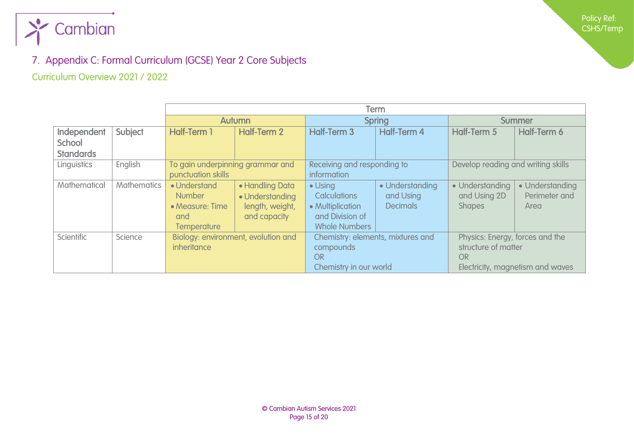

### 7. Appendix C: Formal Curriculum (GCSE) Year 2 Core Subjects

#### Curriculum Overview 2021 / 2022

<span id="page-14-1"></span><span id="page-14-0"></span>

|                    |                    |                                  | <b>Autumn</b>                       |                                   | <b>Spring</b>   | <b>Summer</b>                      |                 |  |
|--------------------|--------------------|----------------------------------|-------------------------------------|-----------------------------------|-----------------|------------------------------------|-----------------|--|
| <b>Independent</b> | Subject            | <b>Half-Term 1</b>               | Half-Term 2                         | Half-Term 3                       | Half-Term 4     | Half-Term 5                        | Half-Term 6     |  |
| School             |                    |                                  |                                     |                                   |                 |                                    |                 |  |
| <b>Standards</b>   |                    |                                  |                                     |                                   |                 |                                    |                 |  |
| Linguistics        | English            | To gain underpinning grammar and |                                     | Receiving and responding to       |                 | Develop reading and writing skills |                 |  |
|                    |                    | punctuation skills               |                                     | information                       |                 |                                    |                 |  |
| Mathematical       | <b>Mathematics</b> | • Understand                     | • Handling Data                     | $\bullet$ Using                   | • Understanding | • Understanding                    | • Understanding |  |
|                    |                    | <b>Number</b>                    | • Understanding                     | <b>Calculations</b>               | and Using       | and Using 2D                       | Perimeter and   |  |
|                    |                    | • Measure: Time                  | length, weight,                     | • Multiplication                  | <b>Decimals</b> | <b>Shapes</b>                      | Area            |  |
|                    |                    | and                              | and capacity                        | and Division of                   |                 |                                    |                 |  |
|                    |                    | <b>Temperature</b>               |                                     | <b>Whole Numbers</b>              |                 |                                    |                 |  |
| <b>Scientific</b>  | Science            |                                  | Biology: environment, evolution and | Chemistry: elements, mixtures and |                 | Physics: Energy, forces and the    |                 |  |
|                    |                    | inheritance                      |                                     | compounds                         |                 | structure of matter                |                 |  |
|                    |                    |                                  |                                     | OR                                |                 | OR                                 |                 |  |
|                    |                    |                                  |                                     | Chemistry in our world            |                 | Electricity, magnetism and waves   |                 |  |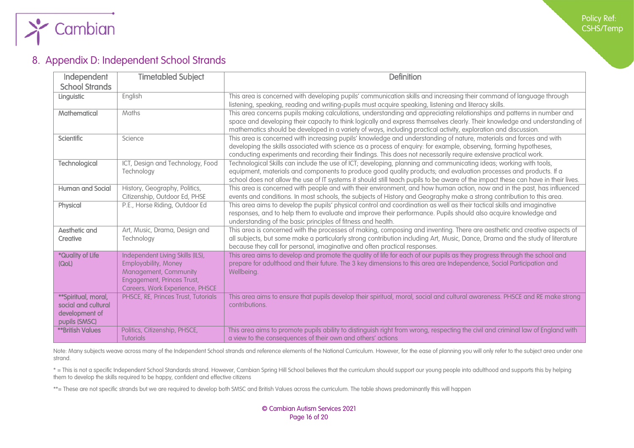

### 8. Appendix D: Independent School Strands

| Independent                                                                   | <b>Timetabled Subject</b>                                                                                                                                        | <b>Definition</b>                                                                                                                                                                                                                                                                                                                                                            |
|-------------------------------------------------------------------------------|------------------------------------------------------------------------------------------------------------------------------------------------------------------|------------------------------------------------------------------------------------------------------------------------------------------------------------------------------------------------------------------------------------------------------------------------------------------------------------------------------------------------------------------------------|
| <b>School Strands</b>                                                         |                                                                                                                                                                  |                                                                                                                                                                                                                                                                                                                                                                              |
| Linguistic                                                                    | English                                                                                                                                                          | This area is concerned with developing pupils' communication skills and increasing their command of language through<br>listening, speaking, reading and writing-pupils must acquire speaking, listening and literacy skills.                                                                                                                                                |
| Mathematical                                                                  | Maths                                                                                                                                                            | This area concerns pupils making calculations, understanding and appreciating relationships and patterns in number and<br>space and developing their capacity to think logically and express themselves clearly. Their knowledge and understanding of<br>mathematics should be developed in a variety of ways, including practical activity, exploration and discussion.     |
| <b>Scientific</b>                                                             | Science                                                                                                                                                          | This area is concerned with increasing pupils' knowledge and understanding of nature, materials and forces and with<br>developing the skills associated with science as a process of enquiry: for example, observing, forming hypotheses,<br>conducting experiments and recording their findings. This does not necessarily require extensive practical work.                |
| <b>Technological</b>                                                          | ICT, Design and Technology, Food<br>Technology                                                                                                                   | Technological Skills can include the use of ICT; developing, planning and communicating ideas; working with tools,<br>equipment, materials and components to produce good quality products; and evaluation processes and products. If a<br>school does not allow the use of IT systems it should still teach pupils to be aware of the impact these can have in their lives. |
| <b>Human and Social</b>                                                       | History, Geography, Politics,<br>Citizenship, Outdoor Ed, PHSE                                                                                                   | This area is concerned with people and with their environment, and how human action, now and in the past, has influenced<br>events and conditions. In most schools, the subjects of History and Geography make a strong contribution to this area.                                                                                                                           |
| Physical                                                                      | P.E., Horse Riding, Outdoor Ed                                                                                                                                   | This area aims to develop the pupils' physical control and coordination as well as their tactical skills and imaginative<br>responses, and to help them to evaluate and improve their performance. Pupils should also acquire knowledge and<br>understanding of the basic principles of fitness and health.                                                                  |
| <b>Aesthetic and</b><br>Creative                                              | Art, Music, Drama, Design and<br>Technology                                                                                                                      | This area is concerned with the processes of making, composing and inventing. There are aesthetic and creative aspects of<br>all subjects, but some make a particularly strong contribution including Art, Music, Dance, Drama and the study of literature<br>because they call for personal, imaginative and often practical responses.                                     |
| *Quality of Life<br>(QoL)                                                     | Independent Living Skills (ILS),<br><b>Employability, Money</b><br>Management, Community<br><b>Engagement, Princes Trust,</b><br>Careers, Work Experience, PHSCE | This area aims to develop and promote the quality of life for each of our pupils as they progress through the school and<br>prepare for adulthood and their future. The 3 key dimensions to this area are Independence, Social Participation and<br>Wellbeing.                                                                                                               |
| **Spiritual, moral,<br>social and cultural<br>development of<br>pupils (SMSC) | PHSCE, RE, Princes Trust, Tutorials                                                                                                                              | This area aims to ensure that pupils develop their spiritual, moral, social and cultural awareness. PHSCE and RE make strong<br>contributions.                                                                                                                                                                                                                               |
| <b>**British Values</b>                                                       | Politics, Citizenship, PHSCE,<br><b>Tutorials</b>                                                                                                                | This area aims to promote pupils ability to distinguish right from wrong, respecting the civil and criminal law of England with<br>a view to the consequences of their own and others' actions                                                                                                                                                                               |

<span id="page-15-0"></span>Note: Many subjects weave across many of the Independent School strands and reference elements of the National Curriculum. However, for the ease of planning you will only refer to the subject area under one strand.

\* = This is not a specific Independent School Standards strand. However, Cambian Spring Hill School believes that the curriculum should support our young people into adulthood and supports this by helping them to develop the skills required to be happy, confident and effective citizens

\*\*= These are not specific strands but we are required to develop both SMSC and British Values across the curriculum. The table shows predominantly this will happen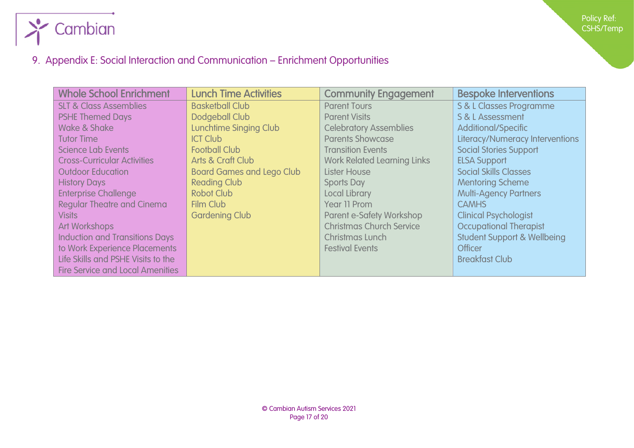

## 9. Appendix E: Social Interaction and Communication – Enrichment Opportunities

<span id="page-16-0"></span>

| <b>Whole School Enrichment</b>          | <b>Lunch Time Activities</b>     | <b>Community Engagement</b>        | <b>Bespoke Interventions</b>           |
|-----------------------------------------|----------------------------------|------------------------------------|----------------------------------------|
| <b>SLT &amp; Class Assemblies</b>       | <b>Basketball Club</b>           | <b>Parent Tours</b>                | S & L Classes Programme                |
| <b>PSHE Themed Days</b>                 | Dodgeball Club                   | <b>Parent Visits</b>               | S & L Assessment                       |
| Wake & Shake                            | <b>Lunchtime Singing Club</b>    | <b>Celebratory Assemblies</b>      | <b>Additional/Specific</b>             |
| <b>Tutor Time</b>                       | <b>ICT Club</b>                  | <b>Parents Showcase</b>            | <b>Literacy/Numeracy Interventions</b> |
| Science Lab Events                      | <b>Football Club</b>             | <b>Transition Events</b>           | <b>Social Stories Support</b>          |
| <b>Cross-Curricular Activities</b>      | Arts & Craft Club                | <b>Work Related Learning Links</b> | <b>ELSA Support</b>                    |
| <b>Outdoor Education</b>                | <b>Board Games and Lego Club</b> | Lister House                       | <b>Social Skills Classes</b>           |
| <b>History Days</b>                     | <b>Reading Club</b>              | <b>Sports Day</b>                  | <b>Mentoring Scheme</b>                |
| <b>Enterprise Challenge</b>             | <b>Robot Club</b>                | Local Library                      | <b>Multi-Agency Partners</b>           |
| <b>Regular Theatre and Cinema</b>       | <b>Film Club</b>                 | Year 11 Prom                       | <b>CAMHS</b>                           |
| <b>Visits</b>                           | <b>Gardening Club</b>            | Parent e-Safety Workshop           | <b>Clinical Psychologist</b>           |
| <b>Art Workshops</b>                    |                                  | <b>Christmas Church Service</b>    | <b>Occupational Therapist</b>          |
| <b>Induction and Transitions Days</b>   |                                  | Christmas Lunch                    | <b>Student Support &amp; Wellbeing</b> |
| to Work Experience Placements           |                                  | <b>Festival Events</b>             | Officer                                |
| Life Skills and PSHE Visits to the      |                                  |                                    | <b>Breakfast Club</b>                  |
| <b>Fire Service and Local Amenities</b> |                                  |                                    |                                        |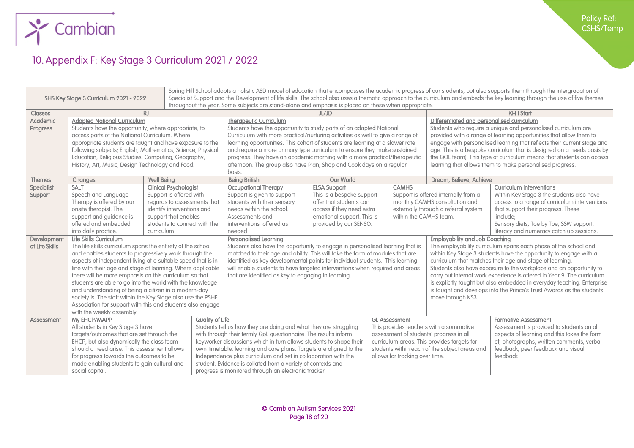

## 10.Appendix F: Key Stage 3 Curriculum 2021 / 2022

<span id="page-17-0"></span>

| Spring Hill School adopts a holistic ASD model of education that encompasses the academic progress of our students, but also supports them through the intergradation of<br>Specialist Support and the Development of life skills. The school also uses a thematic approach to the curriculum and embeds the key learning through the use of five themes<br>SHS Key Stage 3 Curriculum 2021 - 2022<br>throughout the year. Some subjects are stand-alone and emphasis is placed on these when appropriate. |                                                                                                                      |                                                   |                                                                             |                                                                                |                                                     |                                                                    |                                                                                            |                                                                         |                                                                              |  |
|------------------------------------------------------------------------------------------------------------------------------------------------------------------------------------------------------------------------------------------------------------------------------------------------------------------------------------------------------------------------------------------------------------------------------------------------------------------------------------------------------------|----------------------------------------------------------------------------------------------------------------------|---------------------------------------------------|-----------------------------------------------------------------------------|--------------------------------------------------------------------------------|-----------------------------------------------------|--------------------------------------------------------------------|--------------------------------------------------------------------------------------------|-------------------------------------------------------------------------|------------------------------------------------------------------------------|--|
| <b>Classes</b>                                                                                                                                                                                                                                                                                                                                                                                                                                                                                             | $R_{\rm J}$                                                                                                          |                                                   |                                                                             | JL/ID                                                                          |                                                     |                                                                    |                                                                                            | <b>KH I Start</b>                                                       |                                                                              |  |
| <b>Academic</b>                                                                                                                                                                                                                                                                                                                                                                                                                                                                                            | <b>Adapted National Curriculum</b>                                                                                   |                                                   |                                                                             | <b>Therapeutic Curriculum</b>                                                  |                                                     |                                                                    | Differentiated and personalised curriculum                                                 |                                                                         |                                                                              |  |
| <b>Progress</b>                                                                                                                                                                                                                                                                                                                                                                                                                                                                                            | Students have the opportunity, where appropriate, to                                                                 |                                                   |                                                                             | Students have the opportunity to study parts of an adapted National            |                                                     |                                                                    |                                                                                            | Students who require a unique and personalised curriculum are           |                                                                              |  |
|                                                                                                                                                                                                                                                                                                                                                                                                                                                                                                            | access parts of the National Curriculum. Where                                                                       |                                                   |                                                                             | Curriculum with more practical/nurturing activities as well to give a range of |                                                     |                                                                    | provided with a range of learning opportunities that allow them to                         |                                                                         |                                                                              |  |
|                                                                                                                                                                                                                                                                                                                                                                                                                                                                                                            | appropriate students are taught and have exposure to the                                                             |                                                   |                                                                             | learning opportunities. This cohort of students are learning at a slower rate  |                                                     |                                                                    | engage with personalised learning that reflects their current stage and                    |                                                                         |                                                                              |  |
|                                                                                                                                                                                                                                                                                                                                                                                                                                                                                                            | following subjects; English, Mathematics, Science, Physical                                                          |                                                   |                                                                             | and require a more primary type curriculum to ensure they make sustained       |                                                     |                                                                    |                                                                                            | age. This is a bespoke curriculum that is designed on a needs basis by  |                                                                              |  |
|                                                                                                                                                                                                                                                                                                                                                                                                                                                                                                            | Education, Religious Studies, Computing, Geography,                                                                  |                                                   |                                                                             | progress. They have an academic morning with a more practical/therapeutic      |                                                     |                                                                    |                                                                                            | the QOL team). This type of curriculum means that students can access   |                                                                              |  |
|                                                                                                                                                                                                                                                                                                                                                                                                                                                                                                            | History, Art, Music, Design Technology and Food.                                                                     |                                                   |                                                                             | afternoon. The group also have Plan, Shop and Cook days on a regular           |                                                     |                                                                    |                                                                                            | learning that allows them to make personalised progress.                |                                                                              |  |
|                                                                                                                                                                                                                                                                                                                                                                                                                                                                                                            |                                                                                                                      |                                                   |                                                                             | basis.                                                                         |                                                     |                                                                    |                                                                                            |                                                                         |                                                                              |  |
| <b>Themes</b>                                                                                                                                                                                                                                                                                                                                                                                                                                                                                              | Changes<br><b>SALT</b>                                                                                               | <b>Well Being</b><br><b>Clinical Psychologist</b> |                                                                             | <b>Being British</b>                                                           | <b>Our World</b>                                    |                                                                    | <b>CAMHS</b>                                                                               | Dream, Believe, Achieve                                                 |                                                                              |  |
| <b>Specialist</b><br>Support                                                                                                                                                                                                                                                                                                                                                                                                                                                                               | Speech and Language                                                                                                  | Support is offered with                           |                                                                             | <b>Occupational Therapy</b><br>Support is given to support                     | <b>ELSA Support</b><br>This is a bespoke support    |                                                                    |                                                                                            | Support is offered internally from a                                    | <b>Curriculum Interventions</b><br>Within Key Stage 3 the students also have |  |
|                                                                                                                                                                                                                                                                                                                                                                                                                                                                                                            | Therapy is offered by our                                                                                            | regards to assessments that                       |                                                                             | students with their sensory                                                    | offer that students can                             |                                                                    |                                                                                            | monthly CAMHS consultation and                                          | access to a range of curriculum interventions                                |  |
|                                                                                                                                                                                                                                                                                                                                                                                                                                                                                                            | onsite therapist. The                                                                                                | identify interventions and                        |                                                                             | needs within the school.                                                       | access if they need extra                           |                                                                    |                                                                                            | externally through a referral system                                    | that support their progress. These                                           |  |
|                                                                                                                                                                                                                                                                                                                                                                                                                                                                                                            | support and guidance is                                                                                              | support that enables                              |                                                                             | Assessments and<br>emotional support. This is                                  |                                                     |                                                                    | within the CAMHS team.                                                                     |                                                                         | include:                                                                     |  |
|                                                                                                                                                                                                                                                                                                                                                                                                                                                                                                            | offered and embedded                                                                                                 | students to connect with the                      |                                                                             | provided by our SENSO.<br>interventions offered as                             |                                                     |                                                                    |                                                                                            |                                                                         | Sensory diets, Toe by Toe, SSW support,                                      |  |
|                                                                                                                                                                                                                                                                                                                                                                                                                                                                                                            | into daily practice.                                                                                                 | curriculum                                        |                                                                             | needed                                                                         |                                                     |                                                                    | literacy and numeracy catch up sessions.                                                   |                                                                         |                                                                              |  |
| Development                                                                                                                                                                                                                                                                                                                                                                                                                                                                                                | Life Skills Curriculum                                                                                               |                                                   |                                                                             | <b>Personalised Learning</b>                                                   |                                                     |                                                                    | <b>Employability and Job Coaching</b>                                                      |                                                                         |                                                                              |  |
| of Life Skills                                                                                                                                                                                                                                                                                                                                                                                                                                                                                             | The life skills curriculum spans the entirety of the school                                                          |                                                   |                                                                             | Students also have the opportunity to engage in personalised learning that is  |                                                     |                                                                    |                                                                                            | The employability curriculum spans each phase of the school and         |                                                                              |  |
|                                                                                                                                                                                                                                                                                                                                                                                                                                                                                                            | and enables students to progressively work through the                                                               |                                                   |                                                                             | matched to their age and ability. This will take the form of modules that are  |                                                     |                                                                    | within Key Stage 3 students have the opportunity to engage with a                          |                                                                         |                                                                              |  |
|                                                                                                                                                                                                                                                                                                                                                                                                                                                                                                            | aspects of independent living at a suitable speed that is in                                                         |                                                   |                                                                             | identified as key developmental points for individual students. This learning  |                                                     |                                                                    | curriculum that matches their age and stage of learning.                                   |                                                                         |                                                                              |  |
|                                                                                                                                                                                                                                                                                                                                                                                                                                                                                                            | line with their age and stage of learning. Where applicable                                                          |                                                   | will enable students to have targeted interventions when required and areas |                                                                                |                                                     | Students also have exposure to the workplace and an opportunity to |                                                                                            |                                                                         |                                                                              |  |
|                                                                                                                                                                                                                                                                                                                                                                                                                                                                                                            | there will be more emphasis on this curriculum so that                                                               |                                                   |                                                                             |                                                                                | that are identified as key to engaging in learning. |                                                                    |                                                                                            | carry out internal work experience is offered in Year 9. The curriculum |                                                                              |  |
|                                                                                                                                                                                                                                                                                                                                                                                                                                                                                                            | students are able to go into the world with the knowledge                                                            |                                                   |                                                                             |                                                                                |                                                     |                                                                    |                                                                                            |                                                                         | is explicitly taught but also embedded in everyday teaching. Enterprise      |  |
|                                                                                                                                                                                                                                                                                                                                                                                                                                                                                                            | and understanding of being a citizen in a modern-day<br>society is. The staff within the Key Stage also use the PSHE |                                                   |                                                                             |                                                                                |                                                     |                                                                    | is taught and develops into the Prince's Trust Awards as the students<br>move through KS3. |                                                                         |                                                                              |  |
|                                                                                                                                                                                                                                                                                                                                                                                                                                                                                                            | Association for support with this and students also engage                                                           |                                                   |                                                                             |                                                                                |                                                     |                                                                    |                                                                                            |                                                                         |                                                                              |  |
|                                                                                                                                                                                                                                                                                                                                                                                                                                                                                                            | with the weekly assembly.                                                                                            |                                                   |                                                                             |                                                                                |                                                     |                                                                    |                                                                                            |                                                                         |                                                                              |  |
| <b>Assessment</b>                                                                                                                                                                                                                                                                                                                                                                                                                                                                                          | Mv EHCP/MAPP                                                                                                         |                                                   | Quality of Life                                                             |                                                                                |                                                     | <b>GL Assessment</b>                                               |                                                                                            |                                                                         | <b>Formative Assessment</b>                                                  |  |
|                                                                                                                                                                                                                                                                                                                                                                                                                                                                                                            | All students in Key Stage 3 have                                                                                     |                                                   |                                                                             | Students tell us how they are doing and what they are struggling               |                                                     |                                                                    | This provides teachers with a summative                                                    |                                                                         | Assessment is provided to students on all                                    |  |
|                                                                                                                                                                                                                                                                                                                                                                                                                                                                                                            | targets/outcomes that are set through the                                                                            |                                                   | with through their termly QoL questionnaire. The results inform             |                                                                                |                                                     | assessment of students' progress in all                            |                                                                                            | aspects of learning and this takes the form                             |                                                                              |  |
|                                                                                                                                                                                                                                                                                                                                                                                                                                                                                                            | EHCP, but also dynamically the class team                                                                            |                                                   | keyworker discussions which in turn allows students to shape their          |                                                                                |                                                     | curriculum areas. This provides targets for                        |                                                                                            | of; photographs, written comments, verbal                               |                                                                              |  |
|                                                                                                                                                                                                                                                                                                                                                                                                                                                                                                            | should a need arise. This assessment allows                                                                          |                                                   |                                                                             | own timetable, learning and care plans. Targets are aligned to the             |                                                     | students within each of the subject areas and                      |                                                                                            |                                                                         | feedback, peer feedback and visual                                           |  |
|                                                                                                                                                                                                                                                                                                                                                                                                                                                                                                            | for progress towards the outcomes to be                                                                              |                                                   |                                                                             | Independence plus curriculum and set in collaboration with the                 |                                                     |                                                                    | allows for tracking over time.                                                             |                                                                         | feedback                                                                     |  |
|                                                                                                                                                                                                                                                                                                                                                                                                                                                                                                            | made enabling students to gain cultural and                                                                          |                                                   | student. Evidence is collated from a variety of contexts and                |                                                                                |                                                     |                                                                    |                                                                                            |                                                                         |                                                                              |  |
|                                                                                                                                                                                                                                                                                                                                                                                                                                                                                                            | social capital.                                                                                                      |                                                   |                                                                             | progress is monitored through an electronic tracker.                           |                                                     |                                                                    |                                                                                            |                                                                         |                                                                              |  |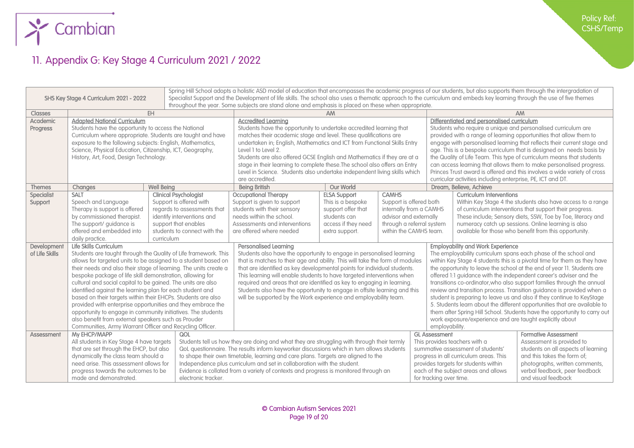

### 11. Appendix G: Key Stage 4 Curriculum 2021 / 2022

<span id="page-18-0"></span>

| Spring Hill School adopts a holistic ASD model of education that encompasses the academic progress of our students, but also supports them through the intergradation of<br>Specialist Support and the Development of life skills. The school also uses a thematic approach to the curriculum and embeds key learning through the use of five themes<br>SHS Key Stage 4 Curriculum 2021 - 2022 |                                                                  |                                                              |                                                                                      |                                                                                            |                                                                          |                                                                        |                                                                                                                    |                                                                                                                                       |  |  |  |
|------------------------------------------------------------------------------------------------------------------------------------------------------------------------------------------------------------------------------------------------------------------------------------------------------------------------------------------------------------------------------------------------|------------------------------------------------------------------|--------------------------------------------------------------|--------------------------------------------------------------------------------------|--------------------------------------------------------------------------------------------|--------------------------------------------------------------------------|------------------------------------------------------------------------|--------------------------------------------------------------------------------------------------------------------|---------------------------------------------------------------------------------------------------------------------------------------|--|--|--|
| throughout the year. Some subjects are stand alone and emphasis is placed on these when appropriate.                                                                                                                                                                                                                                                                                           |                                                                  |                                                              |                                                                                      |                                                                                            |                                                                          |                                                                        |                                                                                                                    |                                                                                                                                       |  |  |  |
| <b>Classes</b>                                                                                                                                                                                                                                                                                                                                                                                 |                                                                  | EH                                                           |                                                                                      | <b>AM</b>                                                                                  |                                                                          |                                                                        |                                                                                                                    | AM                                                                                                                                    |  |  |  |
| <b>Academic</b>                                                                                                                                                                                                                                                                                                                                                                                | <b>Adapted National Curriculum</b>                               |                                                              | <b>Accredited Learning</b>                                                           |                                                                                            |                                                                          |                                                                        |                                                                                                                    | Differentiated and personalised curriculum                                                                                            |  |  |  |
| <b>Progress</b>                                                                                                                                                                                                                                                                                                                                                                                | Students have the opportunity to access the National             |                                                              | Students have the opportunity to undertake accredited learning that                  |                                                                                            |                                                                          | Students who require a unique and personalised curriculum are          |                                                                                                                    |                                                                                                                                       |  |  |  |
|                                                                                                                                                                                                                                                                                                                                                                                                |                                                                  | Curriculum where appropriate. Students are taught and have   | matches their academic stage and level. These qualifications are                     |                                                                                            |                                                                          |                                                                        | provided with a range of learning opportunities that allow them to                                                 |                                                                                                                                       |  |  |  |
|                                                                                                                                                                                                                                                                                                                                                                                                | exposure to the following subjects: English, Mathematics,        |                                                              | undertaken in; English, Mathematics and ICT from Functional Skills Entry             |                                                                                            |                                                                          |                                                                        | engage with personalised learning that reflects their current stage and                                            |                                                                                                                                       |  |  |  |
|                                                                                                                                                                                                                                                                                                                                                                                                | Science, Physical Education, Citizenship, ICT, Geography,        |                                                              | Level 1 to Level 2.                                                                  |                                                                                            |                                                                          |                                                                        |                                                                                                                    | age. This is a bespoke curriculum that is designed on needs basis by                                                                  |  |  |  |
|                                                                                                                                                                                                                                                                                                                                                                                                | History, Art, Food, Design Technology.                           |                                                              | Students are also offered GCSE English and Mathematics if they are at a              |                                                                                            |                                                                          |                                                                        | the Quality of Life Team. This type of curriculum means that students                                              |                                                                                                                                       |  |  |  |
|                                                                                                                                                                                                                                                                                                                                                                                                |                                                                  |                                                              | stage in their learning to complete these. The school also offers an Entry           |                                                                                            |                                                                          |                                                                        | can access learning that allows them to make personalised progress.                                                |                                                                                                                                       |  |  |  |
|                                                                                                                                                                                                                                                                                                                                                                                                |                                                                  |                                                              | Level in Science. Students also undertake independent living skills which            |                                                                                            |                                                                          |                                                                        |                                                                                                                    | Princes Trust award is offered and this involves a wide variety of cross                                                              |  |  |  |
|                                                                                                                                                                                                                                                                                                                                                                                                |                                                                  |                                                              |                                                                                      | are accredited.                                                                            |                                                                          |                                                                        | curricular activities including enterprise, PE, ICT and DT.                                                        |                                                                                                                                       |  |  |  |
| <b>Themes</b>                                                                                                                                                                                                                                                                                                                                                                                  | Changes                                                          | <b>Well Being</b>                                            | <b>Being British</b>                                                                 | <b>Our World</b>                                                                           |                                                                          |                                                                        | Dream, Believe, Achieve                                                                                            |                                                                                                                                       |  |  |  |
| Specialist                                                                                                                                                                                                                                                                                                                                                                                     | <b>SALT</b>                                                      | <b>Clinical Psychologist</b><br>Support is offered with      | <b>Occupational Therapy</b>                                                          | <b>ELSA Support</b>                                                                        | <b>CAMHS</b>                                                             |                                                                        | <b>Curriculum Interventions</b>                                                                                    |                                                                                                                                       |  |  |  |
| Support                                                                                                                                                                                                                                                                                                                                                                                        | Speech and Language<br>Therapy is support is offered             | regards to assessments that                                  | Support is given to support<br>students with their sensory                           | This is a bespoke<br>support offer that                                                    | Support is offered both<br>internally from a CAMHS                       |                                                                        |                                                                                                                    | Within Key Stage 4 the students also have access to a range<br>of curriculum interventions that support their progress.               |  |  |  |
|                                                                                                                                                                                                                                                                                                                                                                                                | by commissioned therapist.                                       | identify interventions and                                   | needs within the school.                                                             | students can                                                                               | advisor and externally                                                   |                                                                        |                                                                                                                    |                                                                                                                                       |  |  |  |
|                                                                                                                                                                                                                                                                                                                                                                                                | The support/ guidance is                                         | support that enables                                         | Assessments and interventions                                                        | access if they need                                                                        |                                                                          | through a referral system                                              | These include; Sensory diets, SSW, Toe by Toe, literacy and<br>numeracy catch up sessions. Online learning is also |                                                                                                                                       |  |  |  |
|                                                                                                                                                                                                                                                                                                                                                                                                | offered and embedded into                                        | students to connect with the                                 | are offered where needed                                                             | extra support.                                                                             | within the CAMHS team.                                                   |                                                                        | available for those who benefit from this opportunity.                                                             |                                                                                                                                       |  |  |  |
|                                                                                                                                                                                                                                                                                                                                                                                                | daily practice.                                                  | curriculum                                                   |                                                                                      |                                                                                            |                                                                          |                                                                        |                                                                                                                    |                                                                                                                                       |  |  |  |
| Development                                                                                                                                                                                                                                                                                                                                                                                    | Life Skills Curriculum                                           |                                                              | <b>Personalised Learning</b>                                                         |                                                                                            |                                                                          |                                                                        |                                                                                                                    | <b>Employability and Work Experience</b>                                                                                              |  |  |  |
| of Life Skills                                                                                                                                                                                                                                                                                                                                                                                 | Students are taught through the Quality of Life framework. This  |                                                              | Students also have the opportunity to engage in personalised learning                |                                                                                            |                                                                          | The employability curriculum spans each phase of the school and        |                                                                                                                    |                                                                                                                                       |  |  |  |
|                                                                                                                                                                                                                                                                                                                                                                                                | allows for targeted units to be assigned to a student based on   |                                                              | that is matches to their age and ability. This will take the form of modules         |                                                                                            | within Key Stage 4 students this is a pivotal time for them as they have |                                                                        |                                                                                                                    |                                                                                                                                       |  |  |  |
|                                                                                                                                                                                                                                                                                                                                                                                                | their needs and also their stage of learning. The units create a |                                                              |                                                                                      | that are identified as key developmental points for individual students.                   |                                                                          |                                                                        |                                                                                                                    | the opportunity to leave the school at the end of year 11. Students are                                                               |  |  |  |
|                                                                                                                                                                                                                                                                                                                                                                                                | bespoke package of life skill demonstration, allowing for        |                                                              | This learning will enable students to have targeted interventions when               |                                                                                            |                                                                          | offered 1:1 guidance with the independent career's adviser and the     |                                                                                                                    |                                                                                                                                       |  |  |  |
|                                                                                                                                                                                                                                                                                                                                                                                                | cultural and social capital to be gained. The units are also     |                                                              | required and areas that are identified as key to engaging in learning.               |                                                                                            |                                                                          | transitions co-ordinator, who also support families through the annual |                                                                                                                    |                                                                                                                                       |  |  |  |
|                                                                                                                                                                                                                                                                                                                                                                                                | identified against the learning plan for each student and        |                                                              | Students also have the opportunity to engage in offsite learning and this            |                                                                                            |                                                                          | review and transition process. Transition guidance is provided when a  |                                                                                                                    |                                                                                                                                       |  |  |  |
|                                                                                                                                                                                                                                                                                                                                                                                                | based on their targets within their EHCPs. Students are also     |                                                              |                                                                                      | will be supported by the Work experience and employability team.                           |                                                                          |                                                                        |                                                                                                                    | student is preparing to leave us and also if they continue to KeyStage                                                                |  |  |  |
|                                                                                                                                                                                                                                                                                                                                                                                                |                                                                  | provided with enterprise opportunities and they embrace the  |                                                                                      |                                                                                            |                                                                          |                                                                        | 5. Students learn about the different opportunities that are available to                                          |                                                                                                                                       |  |  |  |
|                                                                                                                                                                                                                                                                                                                                                                                                | also benefit from external speakers such as Prouder              | opportunity to engage in community initiatives. The students |                                                                                      |                                                                                            |                                                                          |                                                                        |                                                                                                                    | them after Spring Hill School. Students have the opportunity to carry out<br>work exposure/experience and are taught explicitly about |  |  |  |
|                                                                                                                                                                                                                                                                                                                                                                                                | Communities, Army Warrant Officer and Recycling Officer.         |                                                              |                                                                                      |                                                                                            |                                                                          |                                                                        |                                                                                                                    | employability.                                                                                                                        |  |  |  |
| Assessment                                                                                                                                                                                                                                                                                                                                                                                     | My EHCP/MAPP                                                     | QOL                                                          |                                                                                      |                                                                                            |                                                                          | <b>GL Assessment</b>                                                   |                                                                                                                    | <b>Formative Assessment</b>                                                                                                           |  |  |  |
|                                                                                                                                                                                                                                                                                                                                                                                                | All students in Key Stage 4 have targets                         |                                                              |                                                                                      | Students tell us how they are doing and what they are struggling with through their termly |                                                                          |                                                                        | This provides teachers with a<br>Assessment is provided to                                                         |                                                                                                                                       |  |  |  |
|                                                                                                                                                                                                                                                                                                                                                                                                | that are set through the EHCP, but also                          |                                                              |                                                                                      | QoL questionnaire. The results inform keyworker discussions which in turn allows students  |                                                                          |                                                                        | summative assessment of students'                                                                                  | students on all aspects of learning                                                                                                   |  |  |  |
|                                                                                                                                                                                                                                                                                                                                                                                                | dynamically the class team should a                              |                                                              |                                                                                      | to shape their own timetable, learning and care plans. Targets are aligned to the          |                                                                          |                                                                        | progress in all curriculum greas. This                                                                             | and this takes the form of:                                                                                                           |  |  |  |
|                                                                                                                                                                                                                                                                                                                                                                                                | need arise. This assessment allows for                           |                                                              |                                                                                      | Independence plus curriculum and set in collaboration with the student.                    |                                                                          |                                                                        | provides targets for students within                                                                               | photographs, written comments,                                                                                                        |  |  |  |
|                                                                                                                                                                                                                                                                                                                                                                                                | progress towards the outcomes to be                              |                                                              | Evidence is collated from a variety of contexts and progress is monitored through an |                                                                                            |                                                                          |                                                                        | each of the subject areas and allows                                                                               | verbal feedback, peer feedback                                                                                                        |  |  |  |
|                                                                                                                                                                                                                                                                                                                                                                                                | made and demonstrated.                                           | electronic tracker.                                          |                                                                                      |                                                                                            |                                                                          |                                                                        | and visual feedback<br>for tracking over time.                                                                     |                                                                                                                                       |  |  |  |